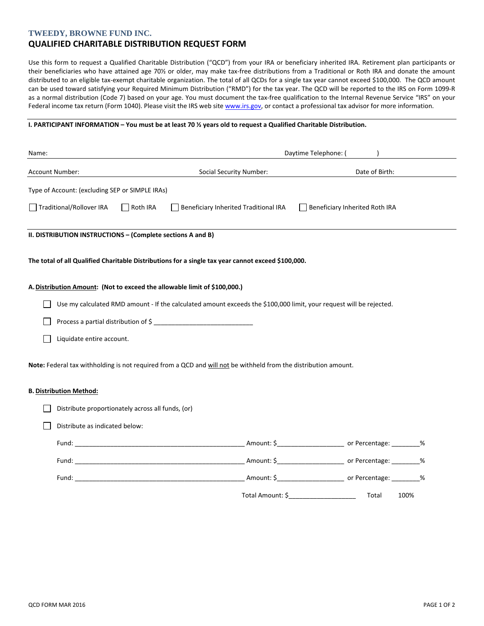### **TWEEDY, BROWNE FUND INC.**

# **QUALIFIED CHARITABLE DISTRIBUTION REQUEST FORM**

Use this form to request a Qualified Charitable Distribution ("QCD") from your IRA or beneficiary inherited IRA. Retirement plan participants or their beneficiaries who have attained age 70½ or older, may make tax-free distributions from a Traditional or Roth IRA and donate the amount distributed to an eligible tax-exempt charitable organization. The total of all QCDs for a single tax year cannot exceed \$100,000. The QCD amount can be used toward satisfying your Required Minimum Distribution ("RMD") for the tax year. The QCD will be reported to the IRS on Form 1099-R as a normal distribution (Code 7) based on your age. You must document the tax-free qualification to the Internal Revenue Service "IRS" on your Federal income tax return (Form 1040). Please visit the IRS web site www.irs.gov, or contact a professional tax advisor for more information.

#### **I. PARTICIPANT INFORMATION – You must be at least 70 ½ years old to request a Qualified Charitable Distribution.**

| Name:                                                                                                                                                                                                                          |                                                                                                                     | Daytime Telephone: (                                                  |
|--------------------------------------------------------------------------------------------------------------------------------------------------------------------------------------------------------------------------------|---------------------------------------------------------------------------------------------------------------------|-----------------------------------------------------------------------|
| Account Number:                                                                                                                                                                                                                | <b>Social Security Number:</b>                                                                                      | Date of Birth:                                                        |
| Type of Account: (excluding SEP or SIMPLE IRAs)                                                                                                                                                                                |                                                                                                                     |                                                                       |
| Traditional/Rollover IRA<br>Roth IRA                                                                                                                                                                                           | Beneficiary Inherited Traditional IRA                                                                               | Beneficiary Inherited Roth IRA                                        |
| II. DISTRIBUTION INSTRUCTIONS - (Complete sections A and B)                                                                                                                                                                    |                                                                                                                     |                                                                       |
|                                                                                                                                                                                                                                | The total of all Qualified Charitable Distributions for a single tax year cannot exceed \$100,000.                  |                                                                       |
| A. Distribution Amount: (Not to exceed the allowable limit of \$100,000.)                                                                                                                                                      |                                                                                                                     |                                                                       |
|                                                                                                                                                                                                                                | Use my calculated RMD amount - If the calculated amount exceeds the \$100,000 limit, your request will be rejected. |                                                                       |
| Process a partial distribution of \$                                                                                                                                                                                           |                                                                                                                     |                                                                       |
| Liquidate entire account.                                                                                                                                                                                                      |                                                                                                                     |                                                                       |
|                                                                                                                                                                                                                                | Note: Federal tax withholding is not required from a QCD and will not be withheld from the distribution amount.     |                                                                       |
| <b>B. Distribution Method:</b>                                                                                                                                                                                                 |                                                                                                                     |                                                                       |
| Distribute proportionately across all funds, (or)                                                                                                                                                                              |                                                                                                                     |                                                                       |
| Distribute as indicated below:                                                                                                                                                                                                 |                                                                                                                     |                                                                       |
| Fund: The contract of the contract of the contract of the contract of the contract of the contract of the contract of the contract of the contract of the contract of the contract of the contract of the contract of the cont |                                                                                                                     | _Amount: \$_______________________________ or Percentage: __________% |
|                                                                                                                                                                                                                                |                                                                                                                     |                                                                       |
|                                                                                                                                                                                                                                |                                                                                                                     |                                                                       |
|                                                                                                                                                                                                                                | Total Amount: \$                                                                                                    | 100%<br>Total                                                         |